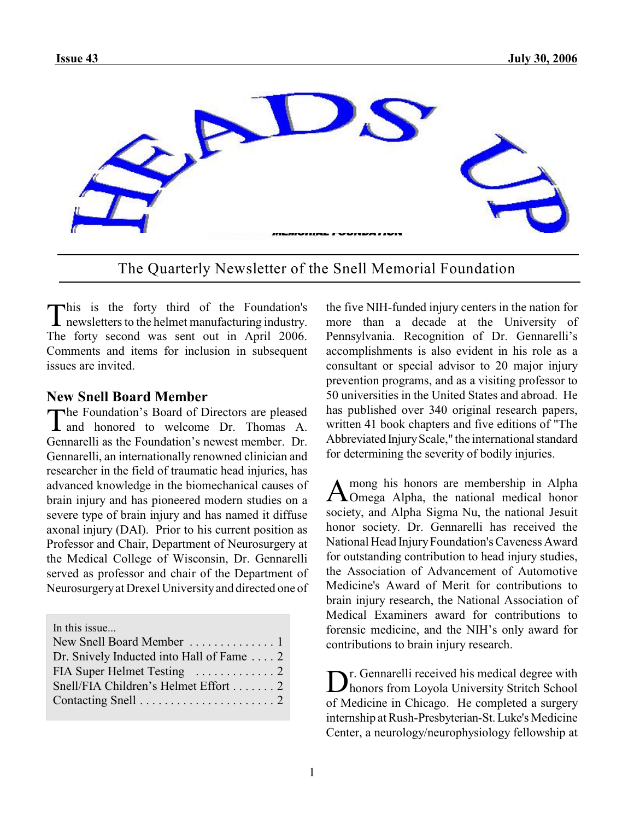

The Quarterly Newsletter of the Snell Memorial Foundation

This is the forty third of the Foundation's<br>newsletters to the helmet manufacturing industry. his is the forty third of the Foundation's The forty second was sent out in April 2006. Comments and items for inclusion in subsequent issues are invited.

#### **New Snell Board Member**

The Foundation's Board of Directors are pleased<br>and honored to welcome Dr. Thomas A. **L** and honored to welcome Dr. Thomas A. Gennarelli as the Foundation's newest member. Dr. Gennarelli, an internationally renowned clinician and researcher in the field of traumatic head injuries, has advanced knowledge in the biomechanical causes of brain injury and has pioneered modern studies on a severe type of brain injury and has named it diffuse axonal injury (DAI). Prior to his current position as Professor and Chair, Department of Neurosurgery at the Medical College of Wisconsin, Dr. Gennarelli served as professor and chair of the Department of Neurosurgery at Drexel University and directed one of

| In this issue                            |
|------------------------------------------|
|                                          |
| Dr. Snively Inducted into Hall of Fame 2 |
|                                          |
| Snell/FIA Children's Helmet Effort 2     |
|                                          |
|                                          |

the five NIH-funded injury centers in the nation for more than a decade at the University of Pennsylvania. Recognition of Dr. Gennarelli's accomplishments is also evident in his role as a consultant or special advisor to 20 major injury prevention programs, and as a visiting professor to 50 universities in the United States and abroad. He has published over 340 original research papers, written 41 book chapters and five editions of "The Abbreviated Injury Scale," the international standard for determining the severity of bodily injuries.

A mong his honors are membership in Alpha<br>Omega Alpha, the national medical honor mong his honors are membership in Alpha society, and Alpha Sigma Nu, the national Jesuit honor society. Dr. Gennarelli has received the National Head Injury Foundation's Caveness Award for outstanding contribution to head injury studies, the Association of Advancement of Automotive Medicine's Award of Merit for contributions to brain injury research, the National Association of Medical Examiners award for contributions to forensic medicine, and the NIH's only award for contributions to brain injury research.

Dr. Gennarelli received his medical degree with<br>honors from Loyola University Stritch School r. Gennarelli received his medical degree with of Medicine in Chicago. He completed a surgery internship at Rush-Presbyterian-St. Luke's Medicine Center, a neurology/neurophysiology fellowship at